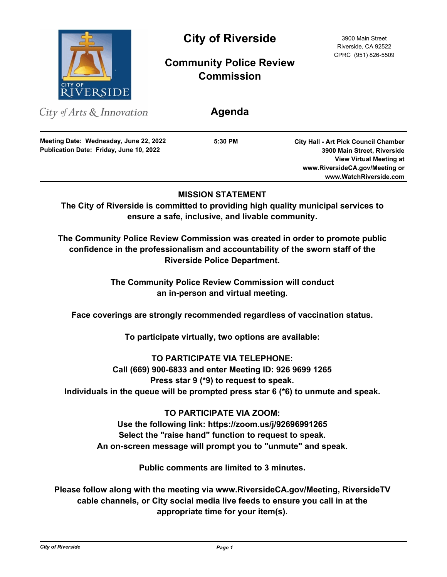

# **City of Riverside** 3900 Main Street

## **Community Police Review Commission**

**Agenda**

City of Arts & Innovation

**Publication Date: Friday, June 10, 2022 Meeting Date: Wednesday, June 22, 2022** **5:30 PM**

**City Hall - Art Pick Council Chamber 3900 Main Street, Riverside View Virtual Meeting at www.RiversideCA.gov/Meeting or www.WatchRiverside.com**

## **MISSION STATEMENT**

**The City of Riverside is committed to providing high quality municipal services to ensure a safe, inclusive, and livable community.**

**The Community Police Review Commission was created in order to promote public confidence in the professionalism and accountability of the sworn staff of the Riverside Police Department.**

> **The Community Police Review Commission will conduct an in-person and virtual meeting.**

**Face coverings are strongly recommended regardless of vaccination status.**

**To participate virtually, two options are available:** 

**TO PARTICIPATE VIA TELEPHONE: Call (669) 900-6833 and enter Meeting ID: 926 9699 1265 Press star 9 (\*9) to request to speak. Individuals in the queue will be prompted press star 6 (\*6) to unmute and speak.**

## **TO PARTICIPATE VIA ZOOM:**

**Use the following link: https://zoom.us/j/92696991265 Select the "raise hand" function to request to speak. An on-screen message will prompt you to "unmute" and speak.**

**Public comments are limited to 3 minutes.**

**Please follow along with the meeting via www.RiversideCA.gov/Meeting, RiversideTV cable channels, or City social media live feeds to ensure you call in at the appropriate time for your item(s).**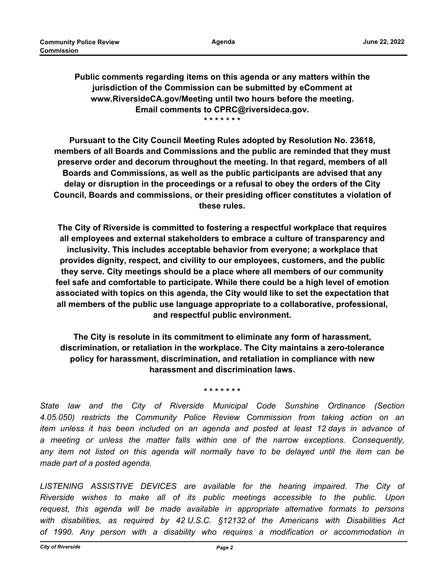**Public comments regarding items on this agenda or any matters within the jurisdiction of the Commission can be submitted by eComment at www.RiversideCA.gov/Meeting until two hours before the meeting. Email comments to CPRC@riversideca.gov. \* \* \* \* \* \* \***

**Pursuant to the City Council Meeting Rules adopted by Resolution No. 23618, members of all Boards and Commissions and the public are reminded that they must preserve order and decorum throughout the meeting. In that regard, members of all Boards and Commissions, as well as the public participants are advised that any delay or disruption in the proceedings or a refusal to obey the orders of the City Council, Boards and commissions, or their presiding officer constitutes a violation of these rules.**

**The City of Riverside is committed to fostering a respectful workplace that requires all employees and external stakeholders to embrace a culture of transparency and inclusivity. This includes acceptable behavior from everyone; a workplace that provides dignity, respect, and civility to our employees, customers, and the public they serve. City meetings should be a place where all members of our community feel safe and comfortable to participate. While there could be a high level of emotion associated with topics on this agenda, the City would like to set the expectation that all members of the public use language appropriate to a collaborative, professional, and respectful public environment.**

**The City is resolute in its commitment to eliminate any form of harassment, discrimination, or retaliation in the workplace. The City maintains a zero-tolerance policy for harassment, discrimination, and retaliation in compliance with new harassment and discrimination laws.**

**\* \* \* \* \* \* \***

*State law and the City of Riverside Municipal Code Sunshine Ordinance (Section 4.05.050) restricts the Community Police Review Commission from taking action on an item unless it has been included on an agenda and posted at least 12 days in advance of a meeting or unless the matter falls within one of the narrow exceptions. Consequently, any item not listed on this agenda will normally have to be delayed until the item can be made part of a posted agenda.*

LISTENING ASSISTIVE DEVICES are available for the hearing impaired. The City of *Riverside wishes to make all of its public meetings accessible to the public. Upon request, this agenda will be made available in appropriate alternative formats to persons with disabilities, as required by 42 U.S.C. §12132 of the Americans with Disabilities Act of 1990. Any person with a disability who requires a modification or accommodation in*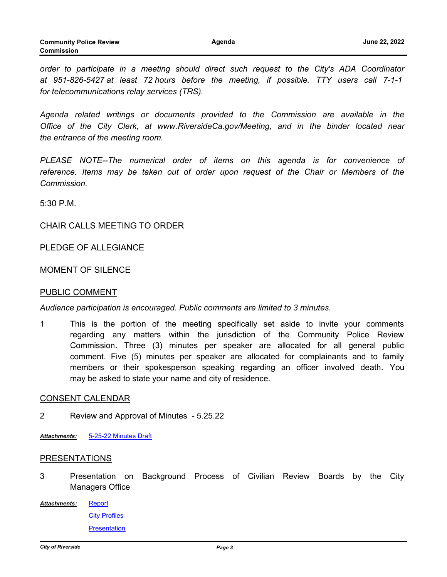*order to participate in a meeting should direct such request to the City's ADA Coordinator at 951-826-5427 at least 72 hours before the meeting, if possible. TTY users call 7-1-1 for telecommunications relay services (TRS).*

*Agenda related writings or documents provided to the Commission are available in the Office of the City Clerk, at www.RiversideCa.gov/Meeting, and in the binder located near the entrance of the meeting room.*

*PLEASE NOTE--The numerical order of items on this agenda is for convenience of*  reference. Items may be taken out of order upon request of the Chair or Members of the *Commission.*

5:30 P.M.

#### CHAIR CALLS MEETING TO ORDER

PLEDGE OF ALLEGIANCE

### MOMENT OF SIL FNCF

#### PUBLIC COMMENT

*Audience participation is encouraged. Public comments are limited to 3 minutes.*

1 This is the portion of the meeting specifically set aside to invite your comments regarding any matters within the jurisdiction of the Community Police Review Commission. Three (3) minutes per speaker are allocated for all general public comment. Five (5) minutes per speaker are allocated for complainants and to family members or their spokesperson speaking regarding an officer involved death. You may be asked to state your name and city of residence.

#### CONSENT CALENDAR

- 2 Review and Approval of Minutes 5.25.22
- *Attachments:* [5-25-22 Minutes Draft](http://riversideca.legistar.com/gateway.aspx?M=F&ID=5a8077a5-b031-457e-af36-ed42008ad66f.docx)

#### PRESENTATIONS

- 3 Presentation on Background Process of Civilian Review Boards by the City Managers Office
- **[Report](http://riversideca.legistar.com/gateway.aspx?M=F&ID=f2e63e7d-7d3b-4e6a-a6ae-c6f7ac6ea585.docx)** [City Profiles](http://riversideca.legistar.com/gateway.aspx?M=F&ID=b4e10ac1-8606-499c-92f5-de03d19ae46e.docx) **[Presentation](http://riversideca.legistar.com/gateway.aspx?M=F&ID=4743b426-702b-4a2f-852c-7a0910ff9332.pptx)** *Attachments:*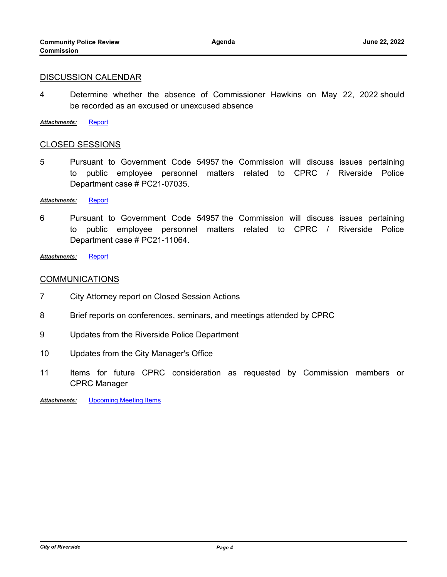#### DISCUSSION CALENDAR

- 4 Determine whether the absence of Commissioner Hawkins on May 22, 2022 should be recorded as an excused or unexcused absence
- *Attachments:* [Report](http://riversideca.legistar.com/gateway.aspx?M=F&ID=dc70d6b3-1714-4aba-b5f8-b6ce2ff771d1.docx)

#### CLOSED SESSIONS

5 Pursuant to Government Code 54957 the Commission will discuss issues pertaining to public employee personnel matters related to CPRC / Riverside Police Department case # PC21-07035.

#### *Attachments:* [Report](http://riversideca.legistar.com/gateway.aspx?M=F&ID=ed4f3966-6001-4fb2-91f2-620621af13fd.doc)

6 Pursuant to Government Code 54957 the Commission will discuss issues pertaining to public employee personnel matters related to CPRC / Riverside Police Department case # PC21-11064.

*Attachments:* [Report](http://riversideca.legistar.com/gateway.aspx?M=F&ID=98fa5cdf-2744-40c8-b61e-87c13e4c206e.doc)

#### **COMMUNICATIONS**

- 7 City Attorney report on Closed Session Actions
- 8 Brief reports on conferences, seminars, and meetings attended by CPRC
- 9 Updates from the Riverside Police Department
- 10 Updates from the City Manager's Office
- 11 Items for future CPRC consideration as requested by Commission members or CPRC Manager

**Attachments:** [Upcoming Meeting Items](http://riversideca.legistar.com/gateway.aspx?M=F&ID=3443c250-9468-43d4-8174-a3a226965a20.pdf)